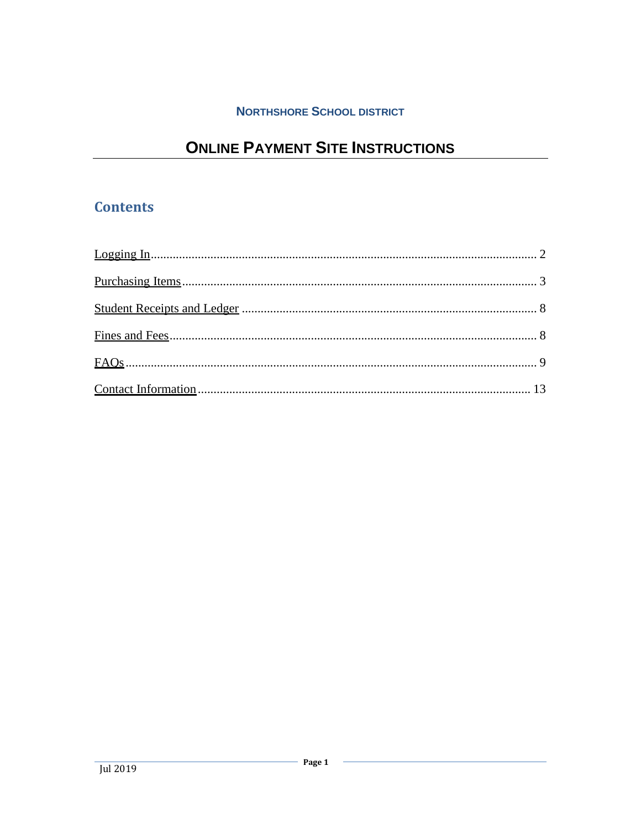## **NORTHSHORE SCHOOL DISTRICT**

# **ONLINE PAYMENT SITE INSTRUCTIONS**

## **Contents**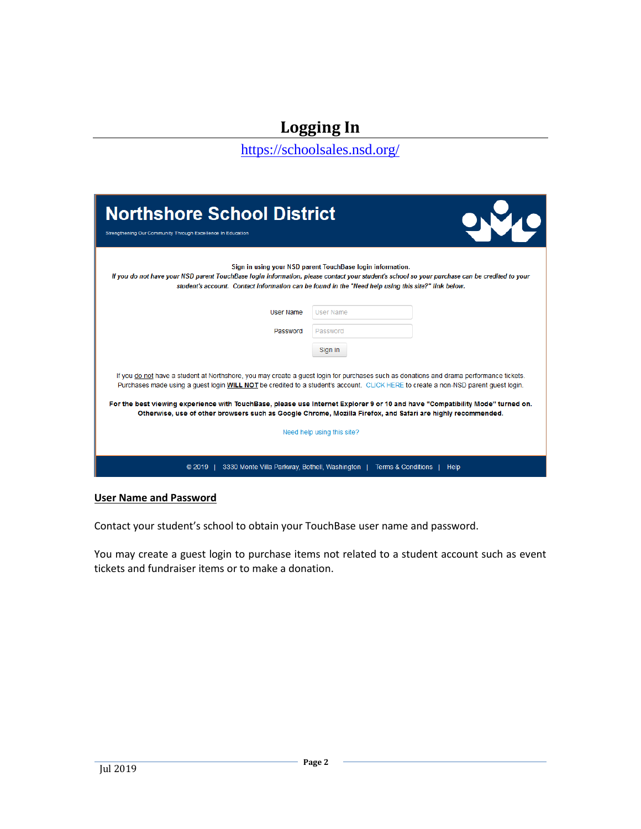# **Logging In**

<https://schoolsales.nsd.org/>

<span id="page-1-0"></span>

| <b>Northshore School District</b><br>Strengthening Our Community Through Excellence In Education |                                                                                                                                                                                                                                                                                                                                                                                                                                                                                                                                                             |
|--------------------------------------------------------------------------------------------------|-------------------------------------------------------------------------------------------------------------------------------------------------------------------------------------------------------------------------------------------------------------------------------------------------------------------------------------------------------------------------------------------------------------------------------------------------------------------------------------------------------------------------------------------------------------|
|                                                                                                  | Sign in using your NSD parent TouchBase login information.<br>If you do not have your NSD parent TouchBase login information, please contact your student's school so your purchase can be credited to your<br>student's account. Contact information can be found in the "Need help using this site?" link below.                                                                                                                                                                                                                                          |
| <b>User Name</b>                                                                                 | <b>User Name</b>                                                                                                                                                                                                                                                                                                                                                                                                                                                                                                                                            |
| Password                                                                                         | Password                                                                                                                                                                                                                                                                                                                                                                                                                                                                                                                                                    |
|                                                                                                  | Sign in                                                                                                                                                                                                                                                                                                                                                                                                                                                                                                                                                     |
|                                                                                                  | If you do not have a student at Northshore, you may create a quest login for purchases such as donations and drama performance tickets.<br>Purchases made using a quest login WILL NOT be credited to a student's account. CLICK HERE to create a non-NSD parent quest login.<br>For the best viewing experience with TouchBase, please use Internet Explorer 9 or 10 and have "Compatibility Mode" turned on.<br>Otherwise, use of other browsers such as Google Chrome, Mozilla Firefox, and Safari are highly recommended.<br>Need help using this site? |
| 3330 Monte Villa Parkway, Bothell, Washington<br>@2019                                           | <b>Terms &amp; Conditions</b><br>Help                                                                                                                                                                                                                                                                                                                                                                                                                                                                                                                       |

**User Name and Password**

Contact your student's school to obtain your TouchBase user name and password.

You may create a guest login to purchase items not related to a student account such as event tickets and fundraiser items or to make a donation.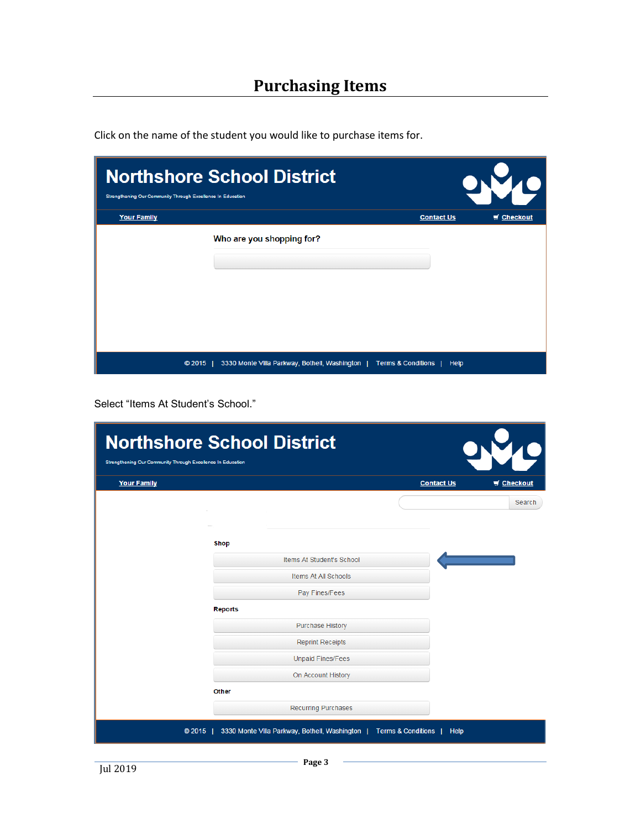| Strengthening Our Community Through Excellence In Education | <b>Northshore School District</b>                                           |                   |                                |
|-------------------------------------------------------------|-----------------------------------------------------------------------------|-------------------|--------------------------------|
| <b>Your Family</b>                                          |                                                                             | <b>Contact Us</b> | $\blacktriangleright$ Checkout |
|                                                             | Who are you shopping for?                                                   |                   |                                |
|                                                             | © 2015   3330 Monte Villa Parkway, Bothell, Washington   Terms & Conditions | Help              |                                |

<span id="page-2-0"></span>Click on the name of the student you would like to purchase items for.

Select "Items At Student's School."

| <b>Northshore School District</b><br>Strengthening Our Community Through Excellence In Education |                |                                               |                               |                   |          |
|--------------------------------------------------------------------------------------------------|----------------|-----------------------------------------------|-------------------------------|-------------------|----------|
| <b>Your Family</b>                                                                               |                |                                               |                               | <b>Contact Us</b> | Checkout |
|                                                                                                  |                |                                               |                               |                   | Search   |
|                                                                                                  | Shop           |                                               |                               |                   |          |
|                                                                                                  |                | Items At Student's School                     |                               |                   |          |
|                                                                                                  |                | Items At All Schools                          |                               |                   |          |
|                                                                                                  |                | Pay Fines/Fees                                |                               |                   |          |
|                                                                                                  | <b>Reports</b> |                                               |                               |                   |          |
|                                                                                                  |                | <b>Purchase History</b>                       |                               |                   |          |
|                                                                                                  |                | <b>Reprint Receipts</b>                       |                               |                   |          |
|                                                                                                  |                | <b>Unpaid Fines/Fees</b>                      |                               |                   |          |
|                                                                                                  |                | On Account History                            |                               |                   |          |
|                                                                                                  | <b>Other</b>   |                                               |                               |                   |          |
|                                                                                                  |                | <b>Recurring Purchases</b>                    |                               |                   |          |
|                                                                                                  | $@2015$        | 3330 Monte Villa Parkway, Bothell, Washington | <b>Terms &amp; Conditions</b> | Help              |          |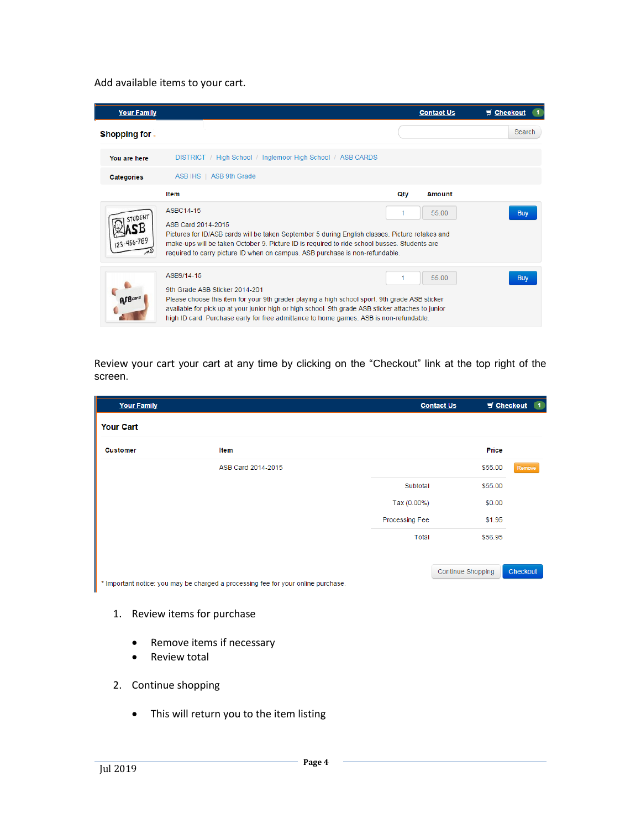#### Add available items to your cart.

| <b>Your Family</b>  |                                                                                                                                                                                                                                                                                                                                                |     | <b>Contact Us</b> | $\equiv$ Checkout |
|---------------------|------------------------------------------------------------------------------------------------------------------------------------------------------------------------------------------------------------------------------------------------------------------------------------------------------------------------------------------------|-----|-------------------|-------------------|
| <b>Shopping for</b> |                                                                                                                                                                                                                                                                                                                                                |     |                   | Search            |
| You are here        | DISTRICT / High School / Inglemoor High School / ASB CARDS                                                                                                                                                                                                                                                                                     |     |                   |                   |
| Categories          | ASB IHS   ASB 9th Grade                                                                                                                                                                                                                                                                                                                        |     |                   |                   |
|                     | <b>Item</b>                                                                                                                                                                                                                                                                                                                                    | Qty | <b>Amount</b>     |                   |
|                     | ASBC14-15<br>55.00<br>ASB Card 2014-2015<br>Pictures for ID/ASB cards will be taken September 5 during English classes. Picture retakes and<br>make-ups will be taken October 9. Picture ID is required to ride school busses. Students are<br>required to carry picture ID when on campus. ASB purchase is non-refundable.                    |     |                   | <b>Buy</b>        |
|                     | ASB9/14-15<br>9th Grade ASB Sticker 2014-201<br>Please choose this item for your 9th grader playing a high school sport. 9th grade ASB sticker<br>available for pick up at your junior high or high school. 9th grade ASB sticker attaches to junior<br>high ID card. Purchase early for free admittance to home games. ASB is non-refundable. | 1   | 55.00             | <b>Buy</b>        |

Review your cart your cart at any time by clicking on the "Checkout" link at the top right of the screen.

| <b>Your Family</b>                                                                |                       |             | <b>Contact Us</b> | Checkout<br>$\blacksquare$ |
|-----------------------------------------------------------------------------------|-----------------------|-------------|-------------------|----------------------------|
| <b>Your Cart</b>                                                                  |                       |             |                   |                            |
| <b>Customer</b>                                                                   | Item                  |             | <b>Price</b>      |                            |
|                                                                                   | ASB Card 2014-2015    |             | \$55.00           | Remove                     |
|                                                                                   |                       | Subtotal    | \$55.00           |                            |
|                                                                                   |                       | Tax (0.00%) | \$0.00            |                            |
| * Important notice: you may be charged a processing fee for your online purchase. | <b>Processing Fee</b> | \$1.95      |                   |                            |
|                                                                                   |                       | Total       | \$56.95           |                            |
|                                                                                   |                       |             |                   |                            |
|                                                                                   |                       |             | Continue Shopping | Checkout                   |
|                                                                                   |                       |             |                   |                            |

- 1. Review items for purchase
	- Remove items if necessary
	- Review total
- 2. Continue shopping
	- This will return you to the item listing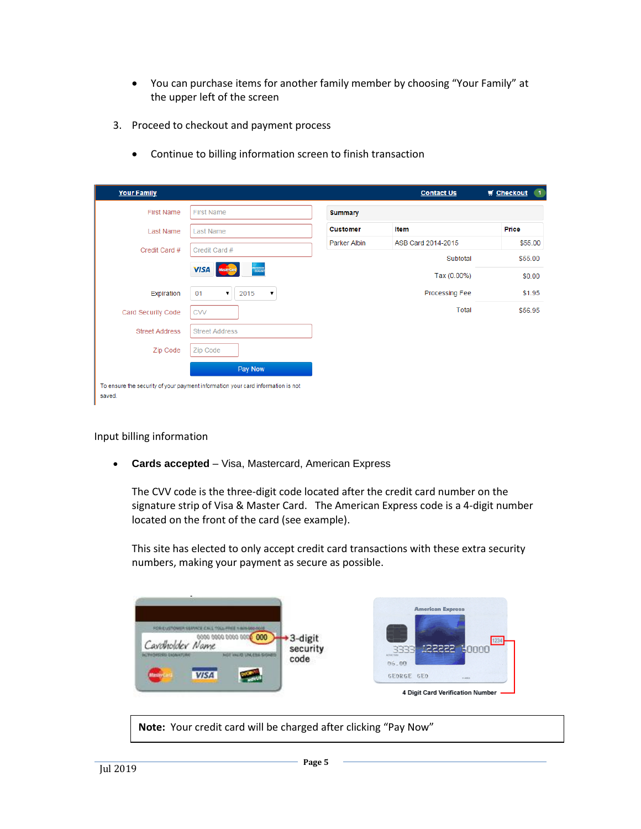- You can purchase items for another family member by choosing "Your Family" at the upper left of the screen
- 3. Proceed to checkout and payment process
	- Continue to billing information screen to finish transaction

| <b>Your Family</b>    |                                                                                 |                     | <b>Contact Us</b>     | $\blacksquare$<br>$\blacksquare$ Checkout |
|-----------------------|---------------------------------------------------------------------------------|---------------------|-----------------------|-------------------------------------------|
| <b>First Name</b>     | <b>First Name</b>                                                               | <b>Summary</b>      |                       |                                           |
| Last Name             | <b>Last Name</b>                                                                | <b>Customer</b>     | Item                  | Price                                     |
| Credit Card #         | Credit Card #                                                                   | <b>Parker Albin</b> | ASB Card 2014-2015    | \$55.00                                   |
|                       |                                                                                 |                     | Subtotal              | \$55.00                                   |
|                       | <b>EXPLANATION</b><br><b>VISA</b><br><b>MasterCan</b>                           |                     | Tax (0.00%)           | \$0.00                                    |
| Expiration            | 01<br>2015<br>▼<br>7                                                            |                     | <b>Processing Fee</b> | \$1.95                                    |
| Card Security Code    | <b>CVV</b>                                                                      |                     | Total                 | \$56.95                                   |
| <b>Street Address</b> | <b>Street Address</b>                                                           |                     |                       |                                           |
| Zip Code              | Zip Code                                                                        |                     |                       |                                           |
|                       | Pay Now                                                                         |                     |                       |                                           |
| saved.                | To ensure the security of your payment information your card information is not |                     |                       |                                           |

#### Input billing information

**Cards accepted** – Visa, Mastercard, American Express

The CVV code is the three-digit code located after the credit card number on the signature strip of Visa & Master Card. The American Express code is a 4-digit number located on the front of the card (see example).

This site has elected to only accept credit card transactions with these extra security numbers, making your payment as secure as possible.

| FOR EUSTOWER SERVICE CALL TOLL FREE 1 801-500-0010                                                    |                             | <b>American Express</b>                                               |
|-------------------------------------------------------------------------------------------------------|-----------------------------|-----------------------------------------------------------------------|
| 0000 0000 0000 0000 000<br>Cardholder Name<br><b>JulyHorneso EngineerUne</b><br>NUTE LINEETING SHOWED | 3-digit<br>security<br>code | 1234<br>つつつつ<br>60000<br>ACTIVE THINK<br>06.00                        |
| <b>Masay</b><br><b>VISA</b>                                                                           |                             | <b>GEORGE GEO</b><br><b>DAMES</b><br>4 Digit Card Verification Number |

**Note:** Your credit card will be charged after clicking "Pay Now"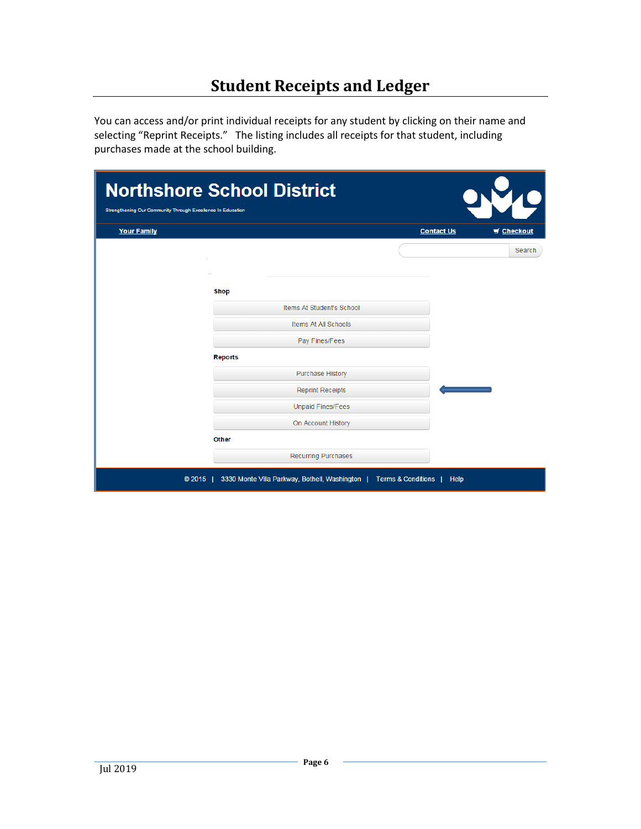# **Student Receipts and Ledger**

<span id="page-5-0"></span>You can access and/or print individual receipts for any student by clicking on their name and selecting "Reprint Receipts." The listing includes all receipts for that student, including purchases made at the school building.

| <b>Northshore School District</b><br>Strengthening Our Community Through Excellence In Education |                |                                               |                               |                   |
|--------------------------------------------------------------------------------------------------|----------------|-----------------------------------------------|-------------------------------|-------------------|
| <b>Your Family</b>                                                                               |                |                                               | <b>Contact Us</b>             | $\equiv$ Checkout |
|                                                                                                  |                |                                               |                               | Search            |
|                                                                                                  |                |                                               |                               |                   |
|                                                                                                  | <b>Shop</b>    |                                               |                               |                   |
|                                                                                                  |                | Items At Student's School                     |                               |                   |
|                                                                                                  |                | Items At All Schools                          |                               |                   |
|                                                                                                  |                | Pay Fines/Fees                                |                               |                   |
|                                                                                                  | <b>Reports</b> |                                               |                               |                   |
|                                                                                                  |                | <b>Purchase History</b>                       |                               |                   |
|                                                                                                  |                | <b>Reprint Receipts</b>                       |                               |                   |
|                                                                                                  |                | <b>Unpaid Fines/Fees</b>                      |                               |                   |
|                                                                                                  |                | On Account History                            |                               |                   |
|                                                                                                  | <b>Other</b>   |                                               |                               |                   |
|                                                                                                  |                | <b>Recurring Purchases</b>                    |                               |                   |
|                                                                                                  | © 2015         | 3330 Monte Villa Parkway, Bothell, Washington | <b>Terms &amp; Conditions</b> | Help              |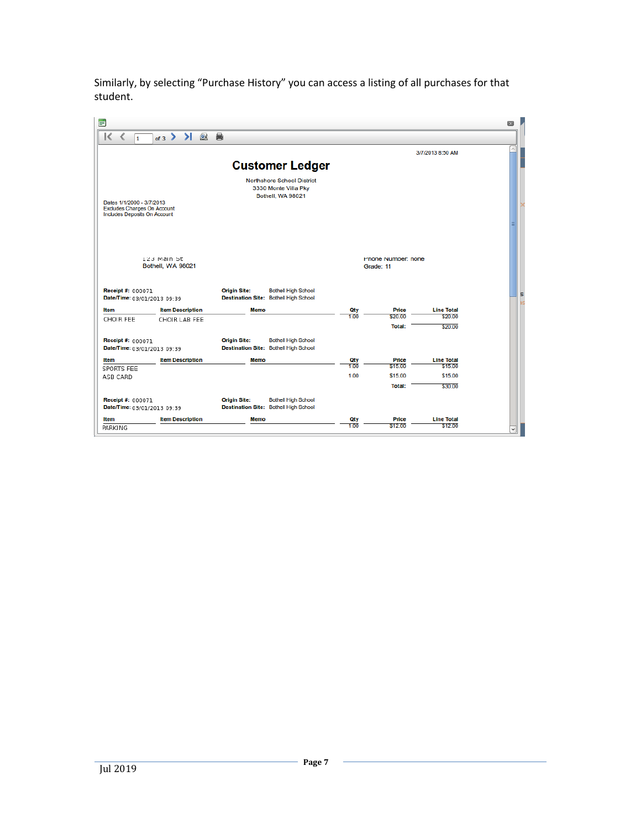Similarly, by selecting "Purchase History" you can access a listing of all purchases for that student.

| E                                                                         |                                  |                                                                                            |             |                                 |                              | $\boxed{\mathbf{x}}$ |   |
|---------------------------------------------------------------------------|----------------------------------|--------------------------------------------------------------------------------------------|-------------|---------------------------------|------------------------------|----------------------|---|
| ĸ<br>⋖<br>$\mathbf{1}$                                                    | of 3 > > 图 目                     |                                                                                            |             |                                 |                              |                      |   |
|                                                                           |                                  |                                                                                            |             |                                 | 3/7/2013 8:50 AM             |                      |   |
|                                                                           |                                  | <b>Customer Ledger</b>                                                                     |             |                                 |                              |                      |   |
| Dates 1/1/2000 - 3/7/2013                                                 |                                  | <b>Northshore School District</b><br>3330 Monte Villa Pky<br>Bothell, WA 98021             |             |                                 |                              |                      |   |
| <b>Excludes Charges On Account</b><br><b>Includes Deposits On Account</b> |                                  |                                                                                            |             |                                 |                              |                      |   |
|                                                                           | 123 Main St<br>Bothell, WA 98021 |                                                                                            |             | Phone Number: none<br>Grade: 11 |                              |                      |   |
| <b>Receipt #: 000071</b><br>Date/Time: 03/01/2013 09:39                   |                                  | <b>Origin Site:</b><br><b>Bothell High School</b><br>Destination Site: Bothell High School |             |                                 |                              |                      | 5 |
| Item                                                                      | <b>Item Description</b>          | Memo                                                                                       | Qty         | <b>Price</b>                    | <b>Line Total</b>            |                      |   |
| CHOIR FEE                                                                 | CHOIR LAB FEE                    |                                                                                            | 1.00        | \$20.00                         | \$20.00                      |                      |   |
| Receipt #: 000071<br>Date/Time: 03/01/2013 09:39                          |                                  | <b>Origin Site:</b><br><b>Bothell High School</b><br>Destination Site: Bothell High School |             | Total:                          | \$20.00                      |                      |   |
| Item                                                                      | <b>Item Description</b>          | <b>Memo</b>                                                                                | <b>Oty</b>  | <b>Price</b>                    | <b>Line Total</b>            |                      |   |
| SPORTS FEE                                                                |                                  |                                                                                            | 1.00        | \$15.00                         | \$15.00                      |                      |   |
| ASB CARD                                                                  |                                  |                                                                                            | 1.00        | \$15.00                         | \$15.00                      |                      |   |
|                                                                           |                                  |                                                                                            |             | <b>Total:</b>                   | \$30.00                      |                      |   |
| Receipt #: 000071                                                         |                                  | <b>Origin Site:</b><br><b>Bothell High School</b><br>Destination Site: Bothell High School |             |                                 |                              |                      |   |
| Date/Time: 03/01/2013 09:39                                               |                                  |                                                                                            |             |                                 |                              |                      |   |
| Item                                                                      | <b>Item Description</b>          | <b>Memo</b>                                                                                | Qty<br>1.00 | <b>Price</b><br>\$12.00         | <b>Line Total</b><br>\$12.00 |                      |   |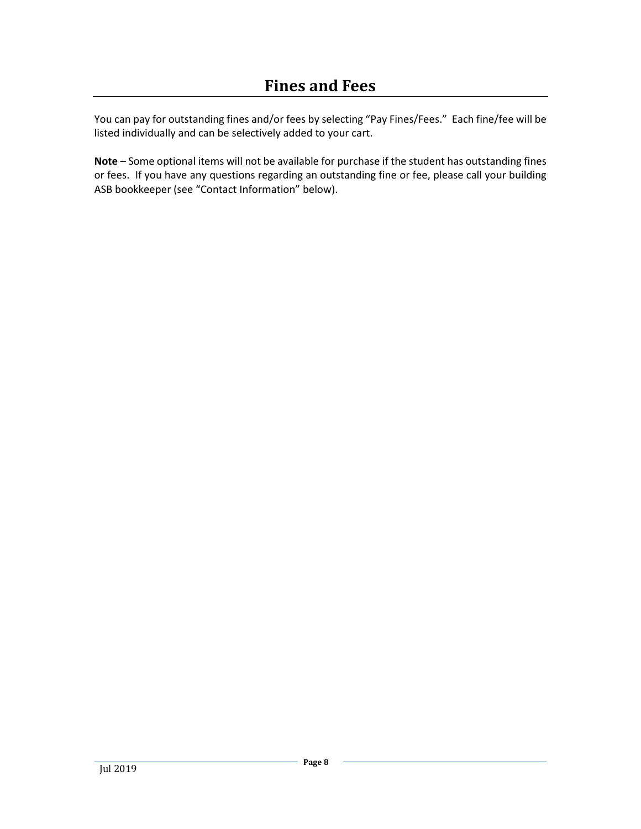<span id="page-7-0"></span>You can pay for outstanding fines and/or fees by selecting "Pay Fines/Fees." Each fine/fee will be listed individually and can be selectively added to your cart.

**Note** – Some optional items will not be available for purchase if the student has outstanding fines or fees. If you have any questions regarding an outstanding fine or fee, please call your building ASB bookkeeper (see "Contact Information" below).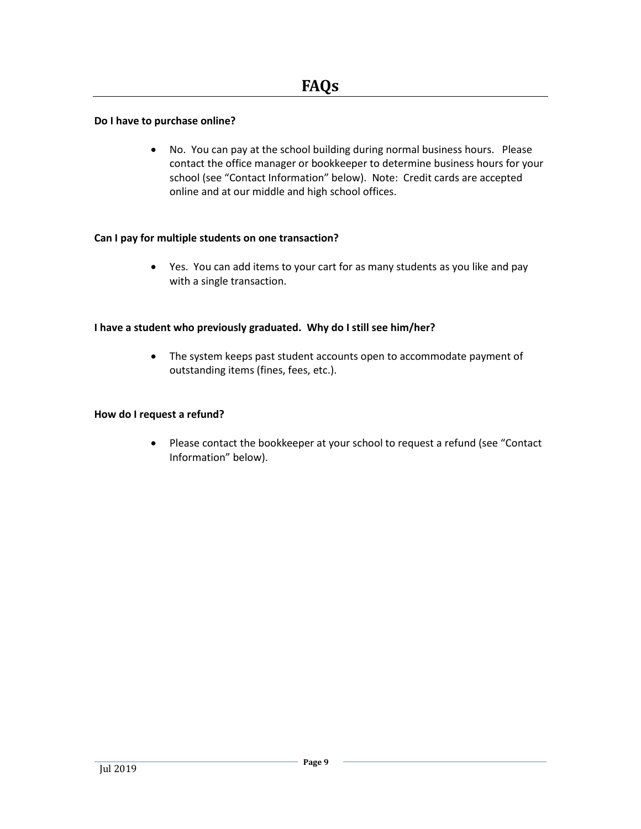#### <span id="page-8-0"></span>**Do I have to purchase online?**

 No. You can pay at the school building during normal business hours. Please contact the office manager or bookkeeper to determine business hours for your school (see "Contact Information" below). Note: Credit cards are accepted online and at our middle and high school offices.

#### **Can I pay for multiple students on one transaction?**

 Yes. You can add items to your cart for as many students as you like and pay with a single transaction.

#### **I have a student who previously graduated. Why do I still see him/her?**

 The system keeps past student accounts open to accommodate payment of outstanding items (fines, fees, etc.).

#### **How do I request a refund?**

 Please contact the bookkeeper at your school to request a refund (see "Contact Information" below).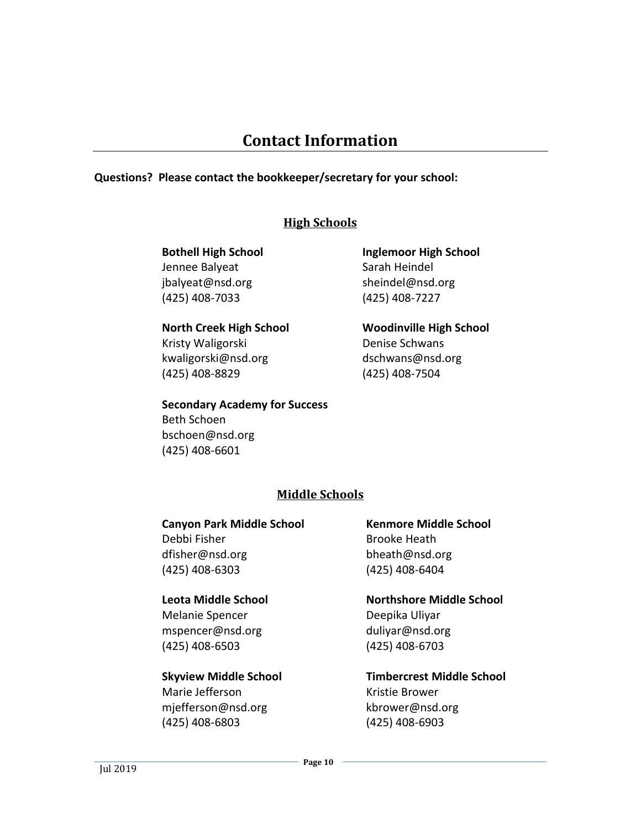# **Contact Information**

### <span id="page-9-0"></span>**Questions? Please contact the bookkeeper/secretary for your school:**

## **High Schools**

## **Bothell High School** Jennee Balyeat jbalyeat@nsd.org

# (425) 408-7033

#### **North Creek High School**

Kristy Waligorski kwaligorski@nsd.org (425) 408-8829

## **Secondary Academy for Success**

Beth Schoen bschoen@nsd.org (425) 408-6601

## **Inglemoor High School** Sarah Heindel sheindel@nsd.org (425) 408-7227

**Woodinville High School** Denise Schwans dschwans@nsd.org (425) 408-7504

## **Middle Schools**

## **Canyon Park Middle School**

Debbi Fisher dfisher@nsd.org (425) 408-6303

### **Leota Middle School**

Melanie Spencer mspencer@nsd.org (425) 408-6503

### **Skyview Middle School**

Marie Jefferson mjefferson@nsd.org (425) 408-6803

**Kenmore Middle School** Brooke Heath bheath@nsd.org (425) 408-6404

**Northshore Middle School** Deepika Uliyar duliyar@nsd.org (425) 408-6703

**Timbercrest Middle School** Kristie Brower kbrower@nsd.org (425) 408-6903